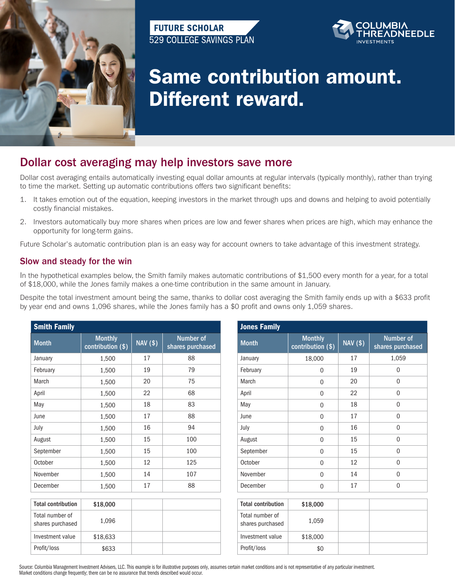

## **FUTURE SCHOLAR** 529 COLLEGE SAVINGS PLAN



## Same contribution amount. Different reward.

## Dollar cost averaging may help investors save more

Dollar cost averaging entails automatically investing equal dollar amounts at regular intervals (typically monthly), rather than trying to time the market. Setting up automatic contributions offers two significant benefits:

- 1. It takes emotion out of the equation, keeping investors in the market through ups and downs and helping to avoid potentially costly financial mistakes.
- 2. Investors automatically buy more shares when prices are low and fewer shares when prices are high, which may enhance the opportunity for long-term gains.

Future Scholar's automatic contribution plan is an easy way for account owners to take advantage of this investment strategy.

## Slow and steady for the win

In the hypothetical examples below, the Smith family makes automatic contributions of \$1,500 every month for a year, for a total of \$18,000, while the Jones family makes a one-time contribution in the same amount in January.

Despite the total investment amount being the same, thanks to dollar cost averaging the Smith family ends up with a \$633 profit by year end and owns 1,096 shares, while the Jones family has a \$0 profit and owns only 1,059 shares.

| <b>Smith Family</b>                 |                                     |                 |                                      | <b>Jones Family</b>                 |                                                |                 |                                      |  |
|-------------------------------------|-------------------------------------|-----------------|--------------------------------------|-------------------------------------|------------------------------------------------|-----------------|--------------------------------------|--|
| <b>Month</b>                        | <b>Monthly</b><br>contribution (\$) | <b>NAV (\$)</b> | <b>Number of</b><br>shares purchased | <b>Month</b>                        | <b>Monthly</b><br>contribution <sub>(\$)</sub> | <b>NAV (\$)</b> | <b>Number of</b><br>shares purchased |  |
| January                             | 1,500                               | 17              | 88                                   | January                             | 18,000                                         | 17              | 1,059                                |  |
| February                            | 1,500                               | 19              | 79                                   | February                            | $\Omega$                                       | 19              | $\Omega$                             |  |
| March                               | 1,500                               | 20              | 75                                   | March                               | 0                                              | 20              | $\boldsymbol{0}$                     |  |
| April                               | 1,500                               | 22              | 68                                   | April                               | 0                                              | 22              | $\mathbf 0$                          |  |
| May                                 | 1,500                               | 18              | 83                                   | May                                 | 0                                              | 18              | $\mathbf{0}$                         |  |
| June                                | 1,500                               | 17              | 88                                   | June                                | $\Omega$                                       | 17              | $\mathbf 0$                          |  |
| July                                | 1,500                               | 16              | 94                                   | July                                | 0                                              | 16              | $\mathbf{0}$                         |  |
| August                              | 1,500                               | 15              | 100                                  | August                              | $\Omega$                                       | 15              | $\mathbf{0}$                         |  |
| September                           | 1,500                               | 15              | 100                                  | September                           | $\mathbf 0$                                    | 15              | $\mathbf{0}$                         |  |
| October                             | 1,500                               | 12              | 125                                  | October                             | 0                                              | 12              | $\mathbf 0$                          |  |
| November                            | 1,500                               | 14              | 107                                  | November                            | 0                                              | 14              | $\mathbf{0}$                         |  |
| December                            | 1,500                               | 17              | 88                                   | December                            | 0                                              | 17              | $\mathbf{0}$                         |  |
| <b>Total contribution</b>           | \$18,000                            |                 |                                      | <b>Total contribution</b>           | \$18,000                                       |                 |                                      |  |
| Total number of<br>shares purchased | 1,096                               |                 |                                      | Total number of<br>shares purchased | 1,059                                          |                 |                                      |  |
| Investment value                    | \$18,633                            |                 |                                      | Investment value                    | \$18,000                                       |                 |                                      |  |
| Profit/loss                         | \$633                               |                 |                                      | Profit/loss                         | \$0                                            |                 |                                      |  |

Source: Columbia Management Investment Advisers, LLC. This example is for illustrative purposes only, assumes certain market conditions and is not representative of any particular investment. Market conditions change frequently; there can be no assurance that trends described would occur.